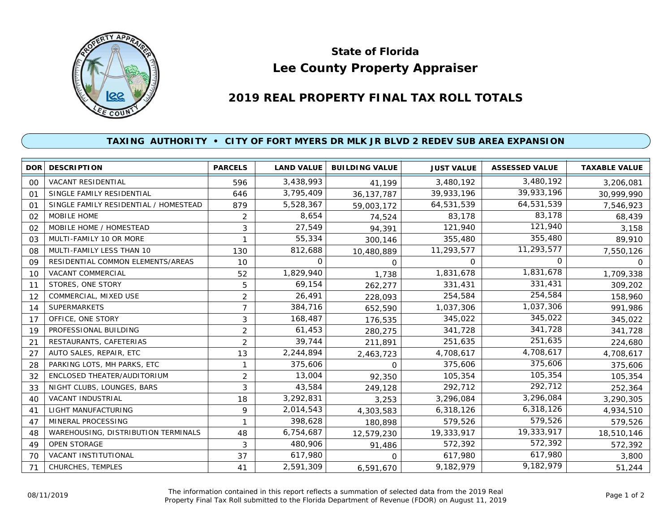

## **Lee County Property Appraiser State of Florida**

## **2019 REAL PROPERTY FINAL TAX ROLL TOTALS**

## **TAXING AUTHORITY • CITY OF FORT MYERS DR MLK JR BLVD 2 REDEV SUB AREA EXPANSION**

|                | <b>DOR DESCRIPTION</b>                | <b>PARCELS</b> | <b>LAND VALUE</b> | <b>BUILDING VALUE</b> | <b>JUST VALUE</b> | <b>ASSESSED VALUE</b> | <b>TAXABLE VALUE</b> |
|----------------|---------------------------------------|----------------|-------------------|-----------------------|-------------------|-----------------------|----------------------|
| 00             | <b>VACANT RESIDENTIAL</b>             | 596            | 3,438,993         | 41,199                | 3,480,192         | 3,480,192             | 3,206,081            |
| 01             | SINGLE FAMILY RESIDENTIAL             | 646            | 3,795,409         | 36, 137, 787          | 39,933,196        | 39,933,196            | 30,999,990           |
| 0 <sup>1</sup> | SINGLE FAMILY RESIDENTIAL / HOMESTEAD | 879            | 5,528,367         | 59,003,172            | 64,531,539        | 64,531,539            | 7,546,923            |
| 02             | MOBILE HOME                           | 2              | 8,654             | 74,524                | 83,178            | 83,178                | 68,439               |
| 02             | MOBILE HOME / HOMESTEAD               | 3              | 27,549            | 94,391                | 121,940           | 121,940               | 3,158                |
| 03             | MULTI-FAMILY 10 OR MORE               |                | 55,334            | 300,146               | 355,480           | 355,480               | 89,910               |
| 08             | MULTI-FAMILY LESS THAN 10             | 130            | 812,688           | 10,480,889            | 11,293,577        | 11,293,577            | 7,550,126            |
| 09             | RESIDENTIAL COMMON ELEMENTS/AREAS     | 10             | 0                 | 0                     | 0                 | $\Omega$              | O                    |
| 10             | <b>VACANT COMMERCIAL</b>              | 52             | 1,829,940         | 1,738                 | 1,831,678         | 1,831,678             | 1,709,338            |
| 11             | STORES, ONE STORY                     | 5              | 69,154            | 262,277               | 331,431           | 331,431               | 309,202              |
| 12             | COMMERCIAL, MIXED USE                 | 2              | 26,491            | 228,093               | 254,584           | 254,584               | 158,960              |
| 14             | <b>SUPERMARKETS</b>                   | $\overline{7}$ | 384,716           | 652,590               | 1,037,306         | 1,037,306             | 991,986              |
| 17             | OFFICE, ONE STORY                     | 3              | 168,487           | 176,535               | 345,022           | 345,022               | 345,022              |
| 19             | PROFESSIONAL BUILDING                 | $\overline{2}$ | 61,453            | 280,275               | 341,728           | 341,728               | 341,728              |
| 21             | RESTAURANTS, CAFETERIAS               | 2              | 39,744            | 211,891               | 251,635           | 251,635               | 224,680              |
| 27             | AUTO SALES, REPAIR, ETC               | 13             | 2,244,894         | 2,463,723             | 4,708,617         | 4,708,617             | 4,708,617            |
| 28             | PARKING LOTS, MH PARKS, ETC           |                | 375,606           | $\Omega$              | 375,606           | 375,606               | 375,606              |
| 32             | ENCLOSED THEATER/AUDITORIUM           | $\overline{2}$ | 13,004            | 92,350                | 105,354           | 105,354               | 105,354              |
| 33             | NIGHT CLUBS, LOUNGES, BARS            | 3              | 43,584            | 249,128               | 292,712           | 292,712               | 252,364              |
| 40             | VACANT INDUSTRIAL                     | 18             | 3,292,831         | 3,253                 | 3,296,084         | 3,296,084             | 3,290,305            |
| 41             | LIGHT MANUFACTURING                   | 9              | 2,014,543         | 4,303,583             | 6,318,126         | 6,318,126             | 4,934,510            |
| 47             | MINERAL PROCESSING                    |                | 398,628           | 180,898               | 579,526           | 579,526               | 579,526              |
| 48             | WAREHOUSING, DISTRIBUTION TERMINALS   | 48             | 6,754,687         | 12,579,230            | 19,333,917        | 19,333,917            | 18,510,146           |
| 49             | <b>OPEN STORAGE</b>                   | 3              | 480,906           | 91,486                | 572,392           | 572,392               | 572,392              |
| 70             | <b>VACANT INSTITUTIONAL</b>           | 37             | 617,980           | $\Omega$              | 617,980           | 617,980               | 3,800                |
| 71             | CHURCHES, TEMPLES                     | 41             | 2,591,309         | 6,591,670             | 9,182,979         | 9,182,979             | 51,244               |